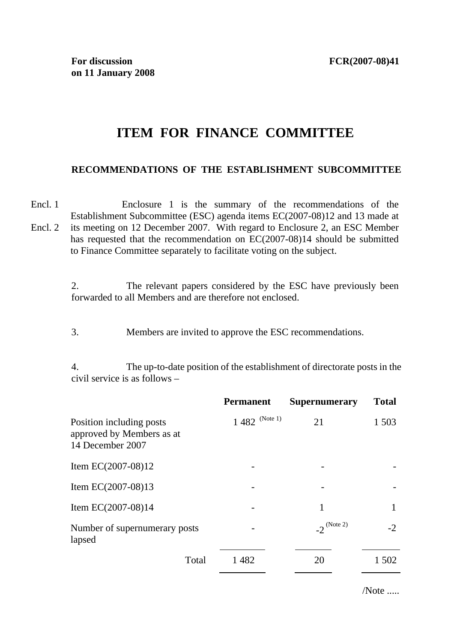# **ITEM FOR FINANCE COMMITTEE**

### **RECOMMENDATIONS OF THE ESTABLISHMENT SUBCOMMITTEE**

Encl. 1 Encl. 2 Enclosure 1 is the summary of the recommendations of the Establishment Subcommittee (ESC) agenda items EC(2007-08)12 and 13 made at its meeting on 12 December 2007. With regard to Enclosure 2, an ESC Member has requested that the recommendation on EC(2007-08)14 should be submitted to Finance Committee separately to facilitate voting on the subject.

> 2. The relevant papers considered by the ESC have previously been forwarded to all Members and are therefore not enclosed.

3. Members are invited to approve the ESC recommendations.

4. The up-to-date position of the establishment of directorate posts in the civil service is as follows –

|                                                                           | <b>Permanent</b>  | <b>Supernumerary</b>    | <b>Total</b> |
|---------------------------------------------------------------------------|-------------------|-------------------------|--------------|
| Position including posts<br>approved by Members as at<br>14 December 2007 | $1\,482$ (Note 1) | 21                      | 1 503        |
| Item EC $(2007-08)12$                                                     |                   |                         |              |
| Item EC $(2007-08)13$                                                     |                   |                         |              |
| Item EC $(2007-08)14$                                                     |                   | 1                       |              |
| Number of supernumerary posts<br>lapsed                                   |                   | $-2^{(\text{Note } 2)}$ | $-2$         |
| Total                                                                     | 1482              | 20                      | 1 502        |

/Note .....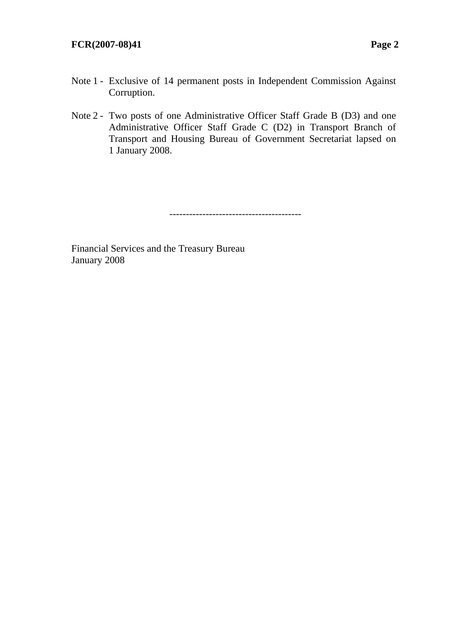#### **FCR(2007-08)41 Page 2**

- Note 1 Exclusive of 14 permanent posts in Independent Commission Against Corruption.
- Note 2 Two posts of one Administrative Officer Staff Grade B (D3) and one Administrative Officer Staff Grade C (D2) in Transport Branch of Transport and Housing Bureau of Government Secretariat lapsed on 1 January 2008.

----------------------------------------

Financial Services and the Treasury Bureau January 2008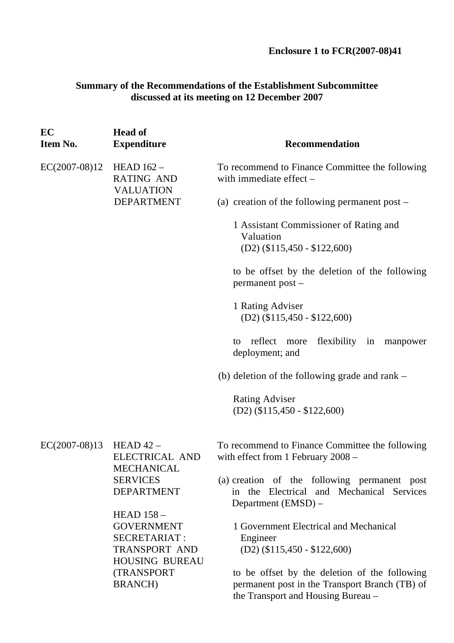**Enclosure 1 to FCR(2007-08)41** 

### **Summary of the Recommendations of the Establishment Subcommittee discussed at its meeting on 12 December 2007**

| <b>Head of</b><br><b>Expenditure</b>                                                                                                     | <b>Recommendation</b>                                                                                                                                                                                                         |
|------------------------------------------------------------------------------------------------------------------------------------------|-------------------------------------------------------------------------------------------------------------------------------------------------------------------------------------------------------------------------------|
| $EC(2007-08)12$<br>HEAD $162-$<br><b>RATING AND</b><br><b>VALUATION</b><br><b>DEPARTMENT</b>                                             | To recommend to Finance Committee the following<br>with immediate effect $-$                                                                                                                                                  |
|                                                                                                                                          | (a) creation of the following permanent post $-$                                                                                                                                                                              |
|                                                                                                                                          | 1 Assistant Commissioner of Rating and<br>Valuation<br>$(D2)$ (\$115,450 - \$122,600)                                                                                                                                         |
|                                                                                                                                          | to be offset by the deletion of the following<br>permanent post -                                                                                                                                                             |
|                                                                                                                                          | 1 Rating Adviser<br>$(D2)$ (\$115,450 - \$122,600)                                                                                                                                                                            |
|                                                                                                                                          | reflect<br>flexibility in<br>more<br>manpower<br>to<br>deployment; and                                                                                                                                                        |
|                                                                                                                                          | (b) deletion of the following grade and rank $-$                                                                                                                                                                              |
|                                                                                                                                          | <b>Rating Adviser</b><br>$(D2)$ (\$115,450 - \$122,600)                                                                                                                                                                       |
| HEAD $42-$<br><b>ELECTRICAL AND</b>                                                                                                      | To recommend to Finance Committee the following<br>with effect from 1 February 2008 -                                                                                                                                         |
| <b>SERVICES</b><br><b>DEPARTMENT</b>                                                                                                     | (a) creation of the following permanent post<br>in the Electrical and Mechanical Services<br>Department (EMSD) –                                                                                                              |
| <b>HEAD 158 -</b><br><b>GOVERNMENT</b><br><b>SECRETARIAT:</b><br>TRANSPORT AND<br><b>HOUSING BUREAU</b><br>(TRANSPORT<br><b>BRANCH</b> ) | 1 Government Electrical and Mechanical<br>Engineer<br>$(D2)$ (\$115,450 - \$122,600)<br>to be offset by the deletion of the following<br>permanent post in the Transport Branch (TB) of<br>the Transport and Housing Bureau - |
|                                                                                                                                          | <b>MECHANICAL</b>                                                                                                                                                                                                             |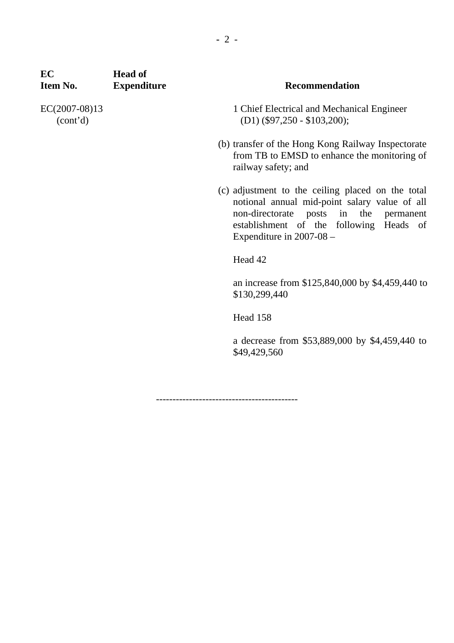| EС<br>Item No.            | <b>Head of</b><br><b>Expenditure</b> | <b>Recommendation</b>                                                                                                                                                                                                 |
|---------------------------|--------------------------------------|-----------------------------------------------------------------------------------------------------------------------------------------------------------------------------------------------------------------------|
| EC(2007-08)13<br>(cont'd) |                                      | 1 Chief Electrical and Mechanical Engineer<br>$(D1)$ (\$97,250 - \$103,200);                                                                                                                                          |
|                           |                                      | (b) transfer of the Hong Kong Railway Inspectorate<br>from TB to EMSD to enhance the monitoring of<br>railway safety; and                                                                                             |
|                           |                                      | (c) adjustment to the ceiling placed on the total<br>notional annual mid-point salary value of all<br>non-directorate posts in the permanent<br>establishment of the following Heads of<br>Expenditure in $2007-08$ – |
|                           | Head 42                              |                                                                                                                                                                                                                       |
|                           |                                      | an increase from \$125,840,000 by \$4,459,440 to<br>\$130,299,440                                                                                                                                                     |
|                           | Head 158                             |                                                                                                                                                                                                                       |
|                           |                                      | a decrease from \$53,889,000 by \$4,459,440 to<br>\$49,429,560                                                                                                                                                        |
|                           |                                      |                                                                                                                                                                                                                       |

-------------------------------------------